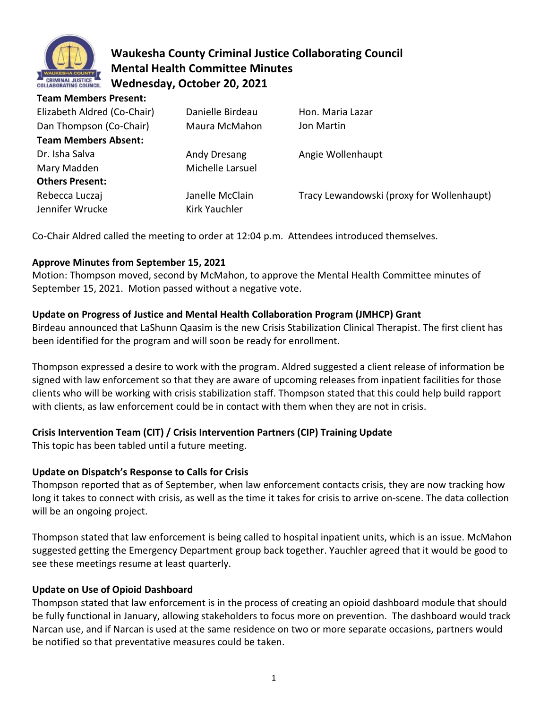

# **Waukesha County Criminal Justice Collaborating Council Mental Health Committee Minutes Wednesday, October 20, 2021**

| <b>Team Members Present:</b> |                  |                                           |
|------------------------------|------------------|-------------------------------------------|
| Elizabeth Aldred (Co-Chair)  | Danielle Birdeau | Hon. Maria Lazar                          |
| Dan Thompson (Co-Chair)      | Maura McMahon    | Jon Martin                                |
| <b>Team Members Absent:</b>  |                  |                                           |
| Dr. Isha Salva               | Andy Dresang     | Angie Wollenhaupt                         |
| Mary Madden                  | Michelle Larsuel |                                           |
| <b>Others Present:</b>       |                  |                                           |
| Rebecca Luczaj               | Janelle McClain  | Tracy Lewandowski (proxy for Wollenhaupt) |
| Jennifer Wrucke              | Kirk Yauchler    |                                           |
|                              |                  |                                           |

Co-Chair Aldred called the meeting to order at 12:04 p.m. Attendees introduced themselves.

### **Approve Minutes from September 15, 2021**

Motion: Thompson moved, second by McMahon, to approve the Mental Health Committee minutes of September 15, 2021. Motion passed without a negative vote.

### **Update on Progress of Justice and Mental Health Collaboration Program (JMHCP) Grant**

Birdeau announced that LaShunn Qaasim is the new Crisis Stabilization Clinical Therapist. The first client has been identified for the program and will soon be ready for enrollment.

Thompson expressed a desire to work with the program. Aldred suggested a client release of information be signed with law enforcement so that they are aware of upcoming releases from inpatient facilities for those clients who will be working with crisis stabilization staff. Thompson stated that this could help build rapport with clients, as law enforcement could be in contact with them when they are not in crisis.

## **Crisis Intervention Team (CIT) / Crisis Intervention Partners (CIP) Training Update**

This topic has been tabled until a future meeting.

### **Update on Dispatch's Response to Calls for Crisis**

Thompson reported that as of September, when law enforcement contacts crisis, they are now tracking how long it takes to connect with crisis, as well as the time it takes for crisis to arrive on-scene. The data collection will be an ongoing project.

Thompson stated that law enforcement is being called to hospital inpatient units, which is an issue. McMahon suggested getting the Emergency Department group back together. Yauchler agreed that it would be good to see these meetings resume at least quarterly.

### **Update on Use of Opioid Dashboard**

Thompson stated that law enforcement is in the process of creating an opioid dashboard module that should be fully functional in January, allowing stakeholders to focus more on prevention. The dashboard would track Narcan use, and if Narcan is used at the same residence on two or more separate occasions, partners would be notified so that preventative measures could be taken.